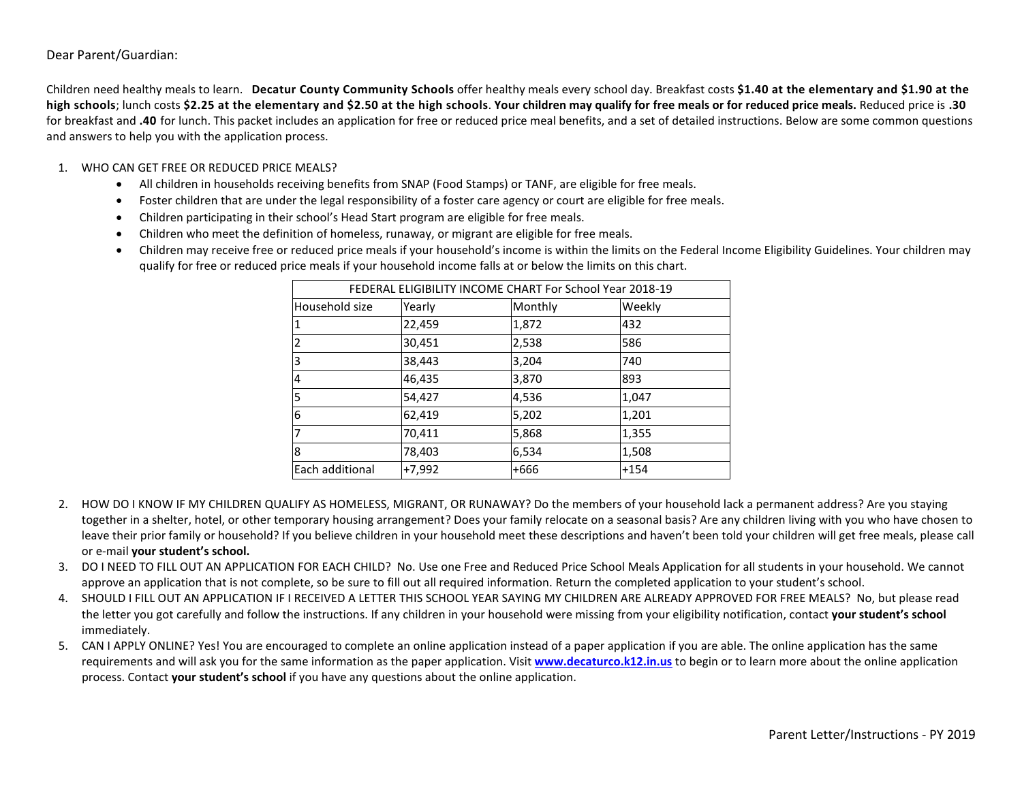### Dear Parent/Guardian:

Children need healthy meals to learn. **Decatur County Community Schools** offer healthy meals every school day. Breakfast costs **\$1.40 at the elementary and \$1.90 at the high schools**; lunch costs **\$2.25 at the elementary and \$2.50 at the high schools**. **Your children may qualify for free meals or for reduced price meals.** Reduced price is **.30** for breakfast and **.40** for lunch. This packet includes an application for free or reduced price meal benefits, and a set of detailed instructions. Below are some common questions and answers to help you with the application process.

### 1. WHO CAN GET FREE OR REDUCED PRICE MEALS?

- All children in households receiving benefits from SNAP (Food Stamps) or TANF, are eligible for free meals.
- Foster children that are under the legal responsibility of a foster care agency or court are eligible for free meals.
- Children participating in their school's Head Start program are eligible for free meals.
- Children who meet the definition of homeless, runaway, or migrant are eligible for free meals.
- Children may receive free or reduced price meals if your household's income is within the limits on the Federal Income Eligibility Guidelines. Your children may qualify for free or reduced price meals if your household income falls at or below the limits on this chart.

| FEDERAL ELIGIBILITY INCOME CHART For School Year 2018-19 |          |         |        |
|----------------------------------------------------------|----------|---------|--------|
| Household size                                           | Yearly   | Monthly | Weekly |
| 1                                                        | 22,459   | 1,872   | 432    |
| $\overline{2}$                                           | 30,451   | 2,538   | 586    |
| 3                                                        | 38,443   | 3,204   | 740    |
| $\overline{4}$                                           | 46,435   | 3,870   | 893    |
| 5                                                        | 54,427   | 4,536   | 1,047  |
| 6                                                        | 62,419   | 5,202   | 1,201  |
| 7                                                        | 70,411   | 5,868   | 1,355  |
| $\overline{8}$                                           | 78,403   | 6,534   | 1,508  |
| Each additional                                          | $+7,992$ | +666    | $+154$ |

- 2. HOW DO I KNOW IF MY CHILDREN QUALIFY AS HOMELESS, MIGRANT, OR RUNAWAY? Do the members of your household lack a permanent address? Are you staying together in a shelter, hotel, or other temporary housing arrangement? Does your family relocate on a seasonal basis? Are any children living with you who have chosen to leave their prior family or household? If you believe children in your household meet these descriptions and haven't been told your children will get free meals, please call or e-mail **your student's school.**
- 3. DO I NEED TO FILL OUT AN APPLICATION FOR EACH CHILD? No. Use one Free and Reduced Price School Meals Application for all students in your household. We cannot approve an application that is not complete, so be sure to fill out all required information. Return the completed application to your student's school.
- 4. SHOULD I FILL OUT AN APPLICATION IF I RECEIVED A LETTER THIS SCHOOL YEAR SAYING MY CHILDREN ARE ALREADY APPROVED FOR FREE MEALS? No, but please read the letter you got carefully and follow the instructions. If any children in your household were missing from your eligibility notification, contact **your student's school** immediately.
- 5. CAN I APPLY ONLINE? Yes! You are encouraged to complete an online application instead of a paper application if you are able. The online application has the same requirements and will ask you for the same information as the paper application. Visit **[www.decaturco.k12.in.us](http://www.decaturco.k12.in.us/)** to begin or to learn more about the online application process. Contact **your student's school** if you have any questions about the online application.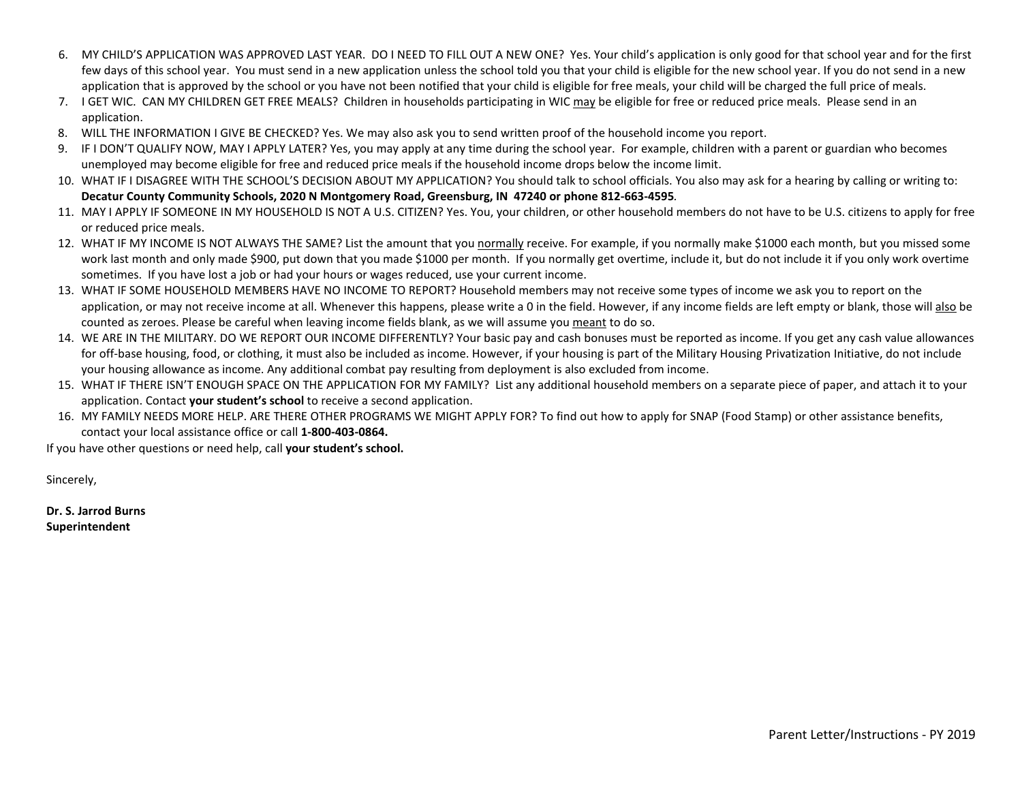- 6. MY CHILD'S APPLICATION WAS APPROVED LAST YEAR. DO I NEED TO FILL OUT A NEW ONE? Yes. Your child's application is only good for that school year and for the first few days of this school year. You must send in a new application unless the school told you that your child is eligible for the new school year. If you do not send in a new application that is approved by the school or you have not been notified that your child is eligible for free meals, your child will be charged the full price of meals.
- 7. I GET WIC. CAN MY CHILDREN GET FREE MEALS? Children in households participating in WIC may be eligible for free or reduced price meals. Please send in an application.
- 8. WILL THE INFORMATION I GIVE BE CHECKED? Yes. We may also ask you to send written proof of the household income you report.
- 9. IF I DON'T QUALIFY NOW, MAY I APPLY LATER? Yes, you may apply at any time during the school year. For example, children with a parent or guardian who becomes unemployed may become eligible for free and reduced price meals if the household income drops below the income limit.
- 10. WHAT IF I DISAGREE WITH THE SCHOOL'S DECISION ABOUT MY APPLICATION? You should talk to school officials. You also may ask for a hearing by calling or writing to: **Decatur County Community Schools, 2020 N Montgomery Road, Greensburg, IN 47240 or phone 812-663-4595***.*
- 11. MAY I APPLY IF SOMEONE IN MY HOUSEHOLD IS NOT A U.S. CITIZEN? Yes. You, your children, or other household members do not have to be U.S. citizens to apply for free or reduced price meals.
- 12. WHAT IF MY INCOME IS NOT ALWAYS THE SAME? List the amount that you normally receive. For example, if you normally make \$1000 each month, but you missed some work last month and only made \$900, put down that you made \$1000 per month. If you normally get overtime, include it, but do not include it if you only work overtime sometimes. If you have lost a job or had your hours or wages reduced, use your current income.
- 13. WHAT IF SOME HOUSEHOLD MEMBERS HAVE NO INCOME TO REPORT? Household members may not receive some types of income we ask you to report on the application, or may not receive income at all. Whenever this happens, please write a 0 in the field. However, if any income fields are left empty or blank, those will also be counted as zeroes. Please be careful when leaving income fields blank, as we will assume you meant to do so.
- 14. WE ARE IN THE MILITARY. DO WE REPORT OUR INCOME DIFFERENTLY? Your basic pay and cash bonuses must be reported as income. If you get any cash value allowances for off-base housing, food, or clothing, it must also be included as income. However, if your housing is part of the Military Housing Privatization Initiative, do not include your housing allowance as income. Any additional combat pay resulting from deployment is also excluded from income.
- 15. WHAT IF THERE ISN'T ENOUGH SPACE ON THE APPLICATION FOR MY FAMILY? List any additional household members on a separate piece of paper, and attach it to your application. Contact **your student's school** to receive a second application.
- 16. MY FAMILY NEEDS MORE HELP. ARE THERE OTHER PROGRAMS WE MIGHT APPLY FOR? To find out how to apply for SNAP (Food Stamp) or other assistance benefits, contact your local assistance office or call **1-800-403-0864.**

If you have other questions or need help, call **your student's school.**

Sincerely,

**Dr. S. Jarrod Burns Superintendent**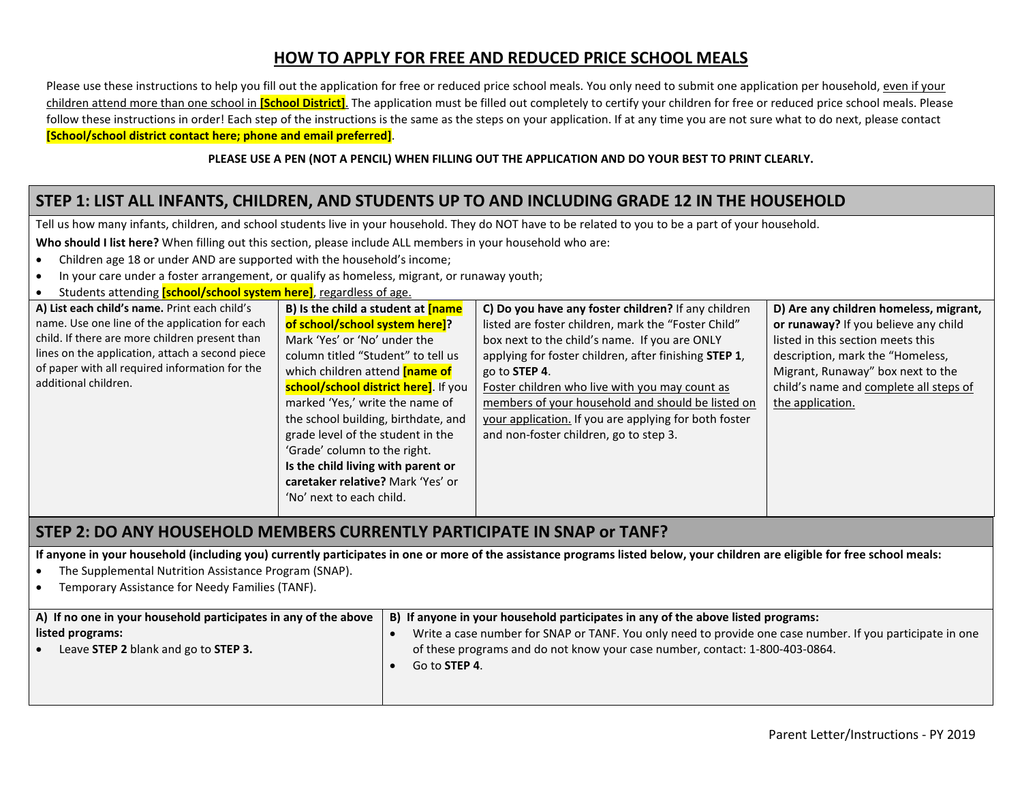## **HOW TO APPLY FOR FREE AND REDUCED PRICE SCHOOL MEALS**

Please use these instructions to help you fill out the application for free or reduced price school meals. You only need to submit one application per household, even if your children attend more than one school in **[School District]**. The application must be filled out completely to certify your children for free or reduced price school meals. Please follow these instructions in order! Each step of the instructions is the same as the steps on your application. If at any time you are not sure what to do next, please contact **[School/school district contact here; phone and email preferred]**.

#### **PLEASE USE A PEN (NOT A PENCIL) WHEN FILLING OUT THE APPLICATION AND DO YOUR BEST TO PRINT CLEARLY.**

## **STEP 1: LIST ALL INFANTS, CHILDREN, AND STUDENTS UP TO AND INCLUDING GRADE 12 IN THE HOUSEHOLD**

Tell us how many infants, children, and school students live in your household. They do NOT have to be related to you to be a part of your household.

**Who should I list here?** When filling out this section, please include ALL members in your household who are:

- Children age 18 or under AND are supported with the household's income;
- In your care under a foster arrangement, or qualify as homeless, migrant, or runaway youth;
- Students attending **[school/school system here]**, regardless of age.

| A) List each child's name. Print each child's   | B) Is the child a student at $[name]$ | C) Do you have any foster children? If any children   | D) Are any children homeless, migrant, |
|-------------------------------------------------|---------------------------------------|-------------------------------------------------------|----------------------------------------|
|                                                 |                                       |                                                       |                                        |
| name. Use one line of the application for each  | of school/school system here]?        | listed are foster children, mark the "Foster Child"   | or runaway? If you believe any child   |
| child. If there are more children present than  | Mark 'Yes' or 'No' under the          | box next to the child's name. If you are ONLY         | listed in this section meets this      |
| lines on the application, attach a second piece | column titled "Student" to tell us    | applying for foster children, after finishing STEP 1, | description, mark the "Homeless,       |
| of paper with all required information for the  | which children attend <b>[name of</b> | go to <b>STEP 4.</b>                                  | Migrant, Runaway" box next to the      |
| additional children.                            | school/school district here]. If you  | Foster children who live with you may count as        | child's name and complete all steps of |
|                                                 | marked 'Yes,' write the name of       | members of your household and should be listed on     | the application.                       |
|                                                 | the school building, birthdate, and   | your application. If you are applying for both foster |                                        |
|                                                 | grade level of the student in the     | and non-foster children, go to step 3.                |                                        |
|                                                 | 'Grade' column to the right.          |                                                       |                                        |
|                                                 | Is the child living with parent or    |                                                       |                                        |
|                                                 | caretaker relative? Mark 'Yes' or     |                                                       |                                        |
|                                                 | 'No' next to each child.              |                                                       |                                        |
|                                                 |                                       |                                                       |                                        |

## **STEP 2: DO ANY HOUSEHOLD MEMBERS CURRENTLY PARTICIPATE IN SNAP or TANF?**

**If anyone in your household (including you) currently participates in one or more of the assistance programs listed below, your children are eligible for free school meals:**

- The Supplemental Nutrition Assistance Program (SNAP).
- Temporary Assistance for Needy Families (TANF).

| A) If no one in your household participates in any of the above | B) If anyone in your household participates in any of the above listed programs:                          |
|-----------------------------------------------------------------|-----------------------------------------------------------------------------------------------------------|
| listed programs:                                                | Write a case number for SNAP or TANF. You only need to provide one case number. If you participate in one |
| Leave STEP 2 blank and go to STEP 3.                            | of these programs and do not know your case number, contact: 1-800-403-0864.                              |
|                                                                 | Go to <b>STEP 4.</b>                                                                                      |
|                                                                 |                                                                                                           |
|                                                                 |                                                                                                           |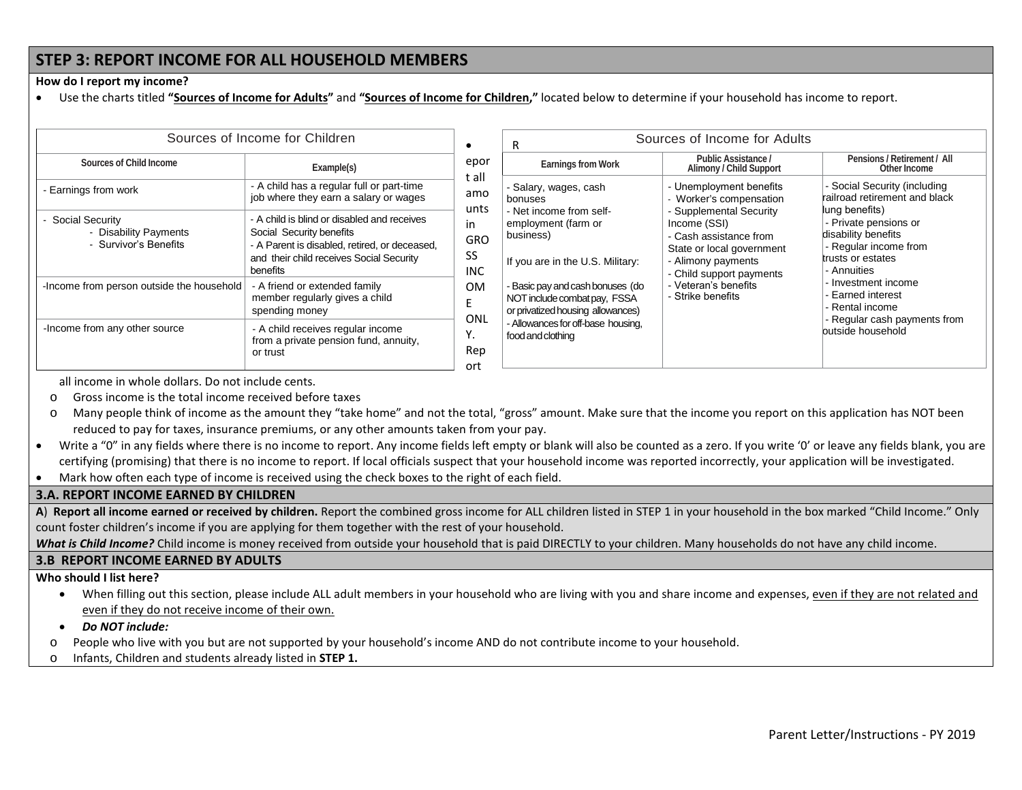## **STEP 3: REPORT INCOME FOR ALL HOUSEHOLD MEMBERS**

#### **How do I report my income?**

• Use the charts titled **"Sources of Income for Adults"** and **"Sources of Income for Children,"** located below to determine if your household has income to report.

|                                                                     | Sources of Income for Children                                                                                                                                                   | $\bullet$                                                          |
|---------------------------------------------------------------------|----------------------------------------------------------------------------------------------------------------------------------------------------------------------------------|--------------------------------------------------------------------|
| Sources of Child Income                                             | Example(s)                                                                                                                                                                       | epor<br>t all                                                      |
| - Earnings from work                                                | - A child has a regular full or part-time<br>job where they earn a salary or wages                                                                                               | - S<br>amo<br>bo<br>unts                                           |
| - Social Security<br>- Disability Payments<br>- Survivor's Benefits | - A child is blind or disabled and receives<br>Social Security benefits<br>- A Parent is disabled, retired, or deceased,<br>and their child receives Social Security<br>benefits | $- N$<br>em<br>in.<br>bu<br><b>GRO</b><br>SS<br>If y<br><b>INC</b> |
| -Income from person outside the household                           | - A friend or extended family<br>member regularly gives a child<br>spending money                                                                                                | - B<br><b>OM</b><br>NC<br>F<br>or                                  |
| -Income from any other source                                       | - A child receives regular income<br>from a private pension fund, annuity,<br>or trust                                                                                           | ONL<br>- A<br>Y.<br>foc<br>Rep<br>ort                              |

| <b>Earnings from Work</b>                                                                                                                                                                                                                                                                               | Public Assistance /<br>Alimony / Child Support                                                                                                                                                                                                      | Pensions / Retirement / All<br>Other Income                                                                                                                                                                                                                                                                      |
|---------------------------------------------------------------------------------------------------------------------------------------------------------------------------------------------------------------------------------------------------------------------------------------------------------|-----------------------------------------------------------------------------------------------------------------------------------------------------------------------------------------------------------------------------------------------------|------------------------------------------------------------------------------------------------------------------------------------------------------------------------------------------------------------------------------------------------------------------------------------------------------------------|
|                                                                                                                                                                                                                                                                                                         |                                                                                                                                                                                                                                                     |                                                                                                                                                                                                                                                                                                                  |
| - Salary, wages, cash<br>bonuses<br>- Net income from self-<br>employment (farm or<br>business)<br>If you are in the U.S. Military:<br>- Basic pay and cash bonuses (do<br>NOT include combat pay, FSSA<br>or privatized housing allowances)<br>- Allowances for off-base housing,<br>food and clothing | - Unemployment benefits<br>- Worker's compensation<br>- Supplemental Security<br>Income (SSI)<br>- Cash assistance from<br>State or local government<br>- Alimony payments<br>- Child support payments<br>- Veteran's benefits<br>- Strike benefits | - Social Security (including<br>railroad retirement and black<br>lung benefits)<br>- Private pensions or<br>disability benefits<br>- Regular income from<br>trusts or estates<br>- Annuities<br>- Investment income<br>- Earned interest<br>- Rental income<br>- Regular cash payments from<br>outside household |

all income in whole dollars. Do not include cents.

- o Gross income is the total income received before taxes
- o Many people think of income as the amount they "take home" and not the total, "gross" amount. Make sure that the income you report on this application has NOT been reduced to pay for taxes, insurance premiums, or any other amounts taken from your pay.
- Write a "0" in any fields where there is no income to report. Any income fields left empty or blank will also be counted as a zero. If you write '0' or leave any fields blank, you are certifying (promising) that there is no income to report. If local officials suspect that your household income was reported incorrectly, your application will be investigated.
- Mark how often each type of income is received using the check boxes to the right of each field.

#### **3.A. REPORT INCOME EARNED BY CHILDREN**

**A**) **Report all income earned or received by children.** Report the combined gross income for ALL children listed in STEP 1 in your household in the box marked "Child Income." Only count foster children's income if you are applying for them together with the rest of your household.

*What is Child Income?* Child income is money received from outside your household that is paid DIRECTLY to your children. Many households do not have any child income.

### **3.B REPORT INCOME EARNED BY ADULTS**

#### **Who should I list here?**

• When filling out this section, please include ALL adult members in your household who are living with you and share income and expenses, even if they are not related and even if they do not receive income of their own.

• *Do NOT include:* 

- o People who live with you but are not supported by your household's income AND do not contribute income to your household.
- o Infants, Children and students already listed in **STEP 1.**